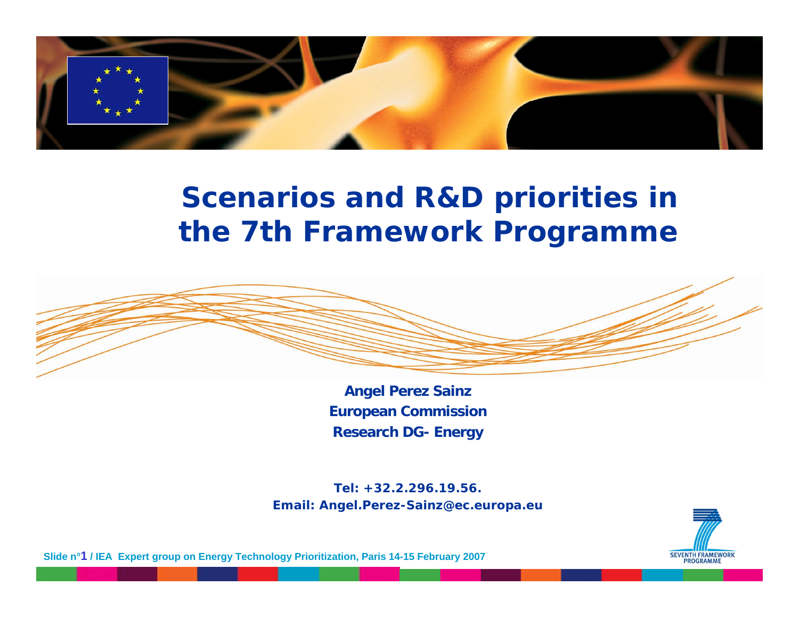

#### **Scenarios and R&D priorities in the 7th Framework Programme**



**Angel Perez Sainz European Commission Research DG- Energy**

**Tel: +32.2.296.19.56.Email: Angel.Perez-Sainz@ec.europa.eu**



**Slide n°1 / IEA Expert group on Energy Technology Prioritization, Paris 14-15 February 2007**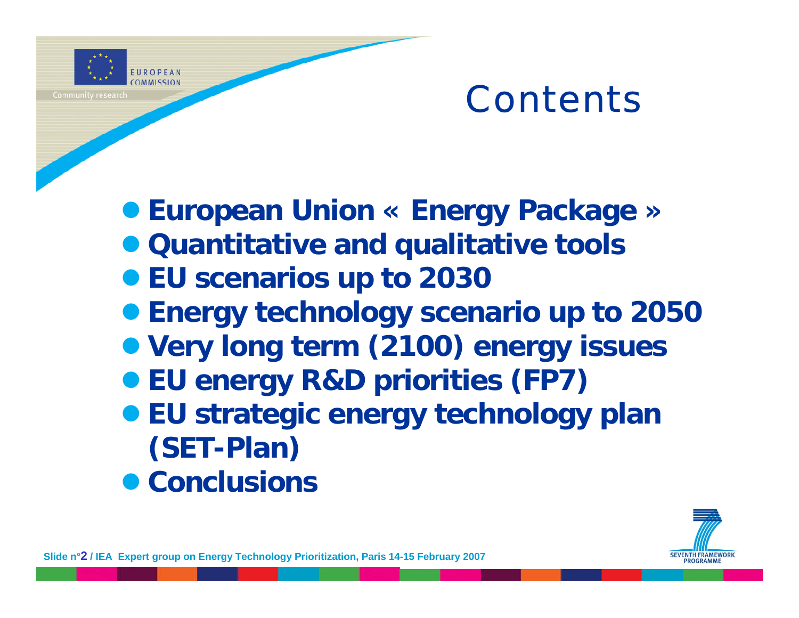

# Contents

z **European Union « Energy Package »**

- **Quantitative and qualitative tools**
- **EU scenarios up to 2030**
- **Energy technology scenario up to 2050**
- **Very long term (2100) energy issues**
- z **EU energy R&D priorities (FP7)**
- z **EU strategic energy technology plan (SET-Plan)**
- **Conclusions**

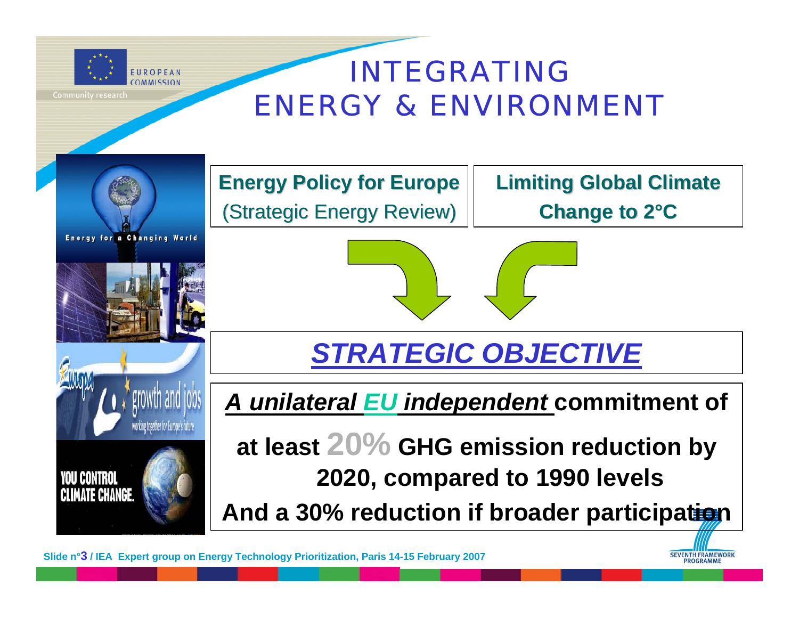

#### INTEGRATING ENERGY & ENVIRONMENT



**Energy Policy for Europe** (Strategic Energy Review)

**Limiting Global Climate Change to 2°C**

> **SEVENTH FRAMEWORK PROGRAMME**

*STRATEGIC OBJECTIVE*

*A unilateral EU independent* **commitment of**

**at least 20% GHG emission reduction by 2020, compared to 1990 levels**

**And a 30% reduction if broader participation**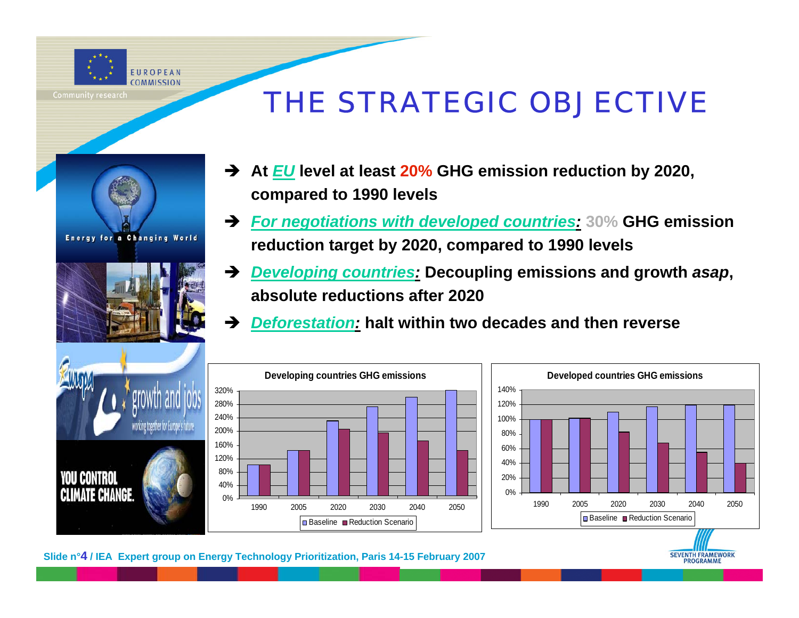

### THE STRATEGIC OBJECTIVE





- Î **At** *EU* **level at least 20% GHG emission reduction by 2020, compared to 1990 levels**
- Î *For negotiations with developed countries:* **30% GHG emission reduction target by 2020, compared to 1990 levels**
- $\rightarrow$ *Developing countries:* **Decoupling emissions and growth** *asap***, absolute reductions after 2020**

**SEVENTH FRAMEWORK PROGRAMME** 

Î*Deforestation:* **halt within two decades and then reverse**



**Slide n°4 / IEA Expert group on Energy Technology Prioritization, Paris 14-15 February 2007**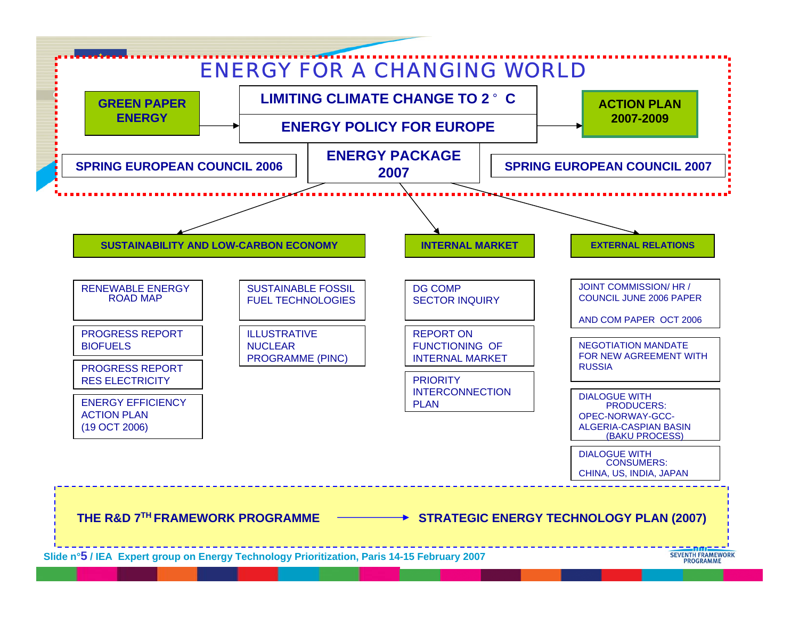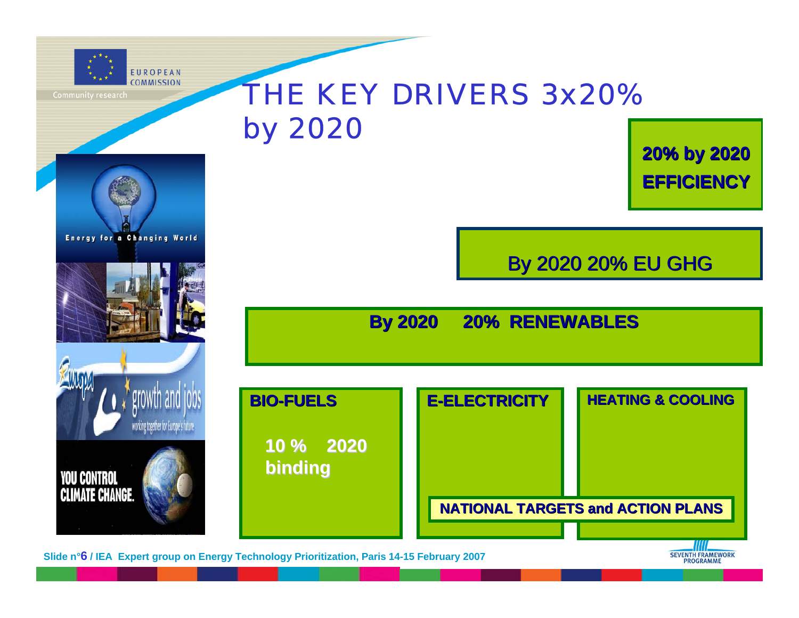

**Energy for a Changing World** 

### THE KEY DRIVERS 3x20%by 2020

**20% by 2020 20% by 2020 EFFICIENCY EFFICIENCY**

**By 2020 20% EU GHG** 

**By 2020 20% RENEWABLES By 2020 20% RENEWABLES** 



**Slide n°6 / IEA Expert group on Energy Technology Prioritization, Paris 14-15 February 2007**

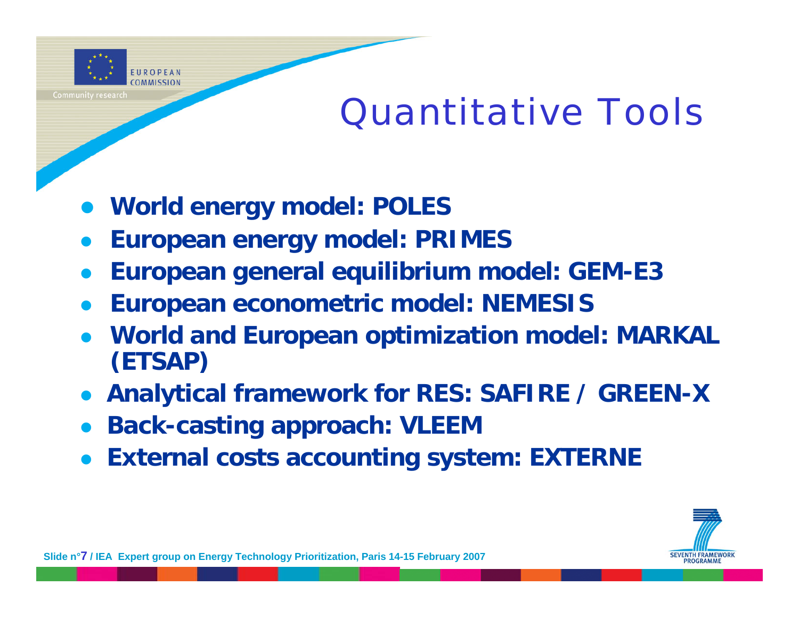

# Quantitative Tools

- **World energy model: POLES**
- $\bullet$ **European energy model: PRIMES**
- $\bullet$ **European general equilibrium model: GEM-E3**
- $\bullet$ **European econometric model: NEMESIS**
- $\bullet$  **World and European optimization model: MARKAL (ETSAP)**
- $\bullet$ **Analytical framework for RES: SAFIRE / GREEN-X**
- $\bullet$ **Back-casting approach: VLEEM**
- **External costs accounting system: EXTERNE**

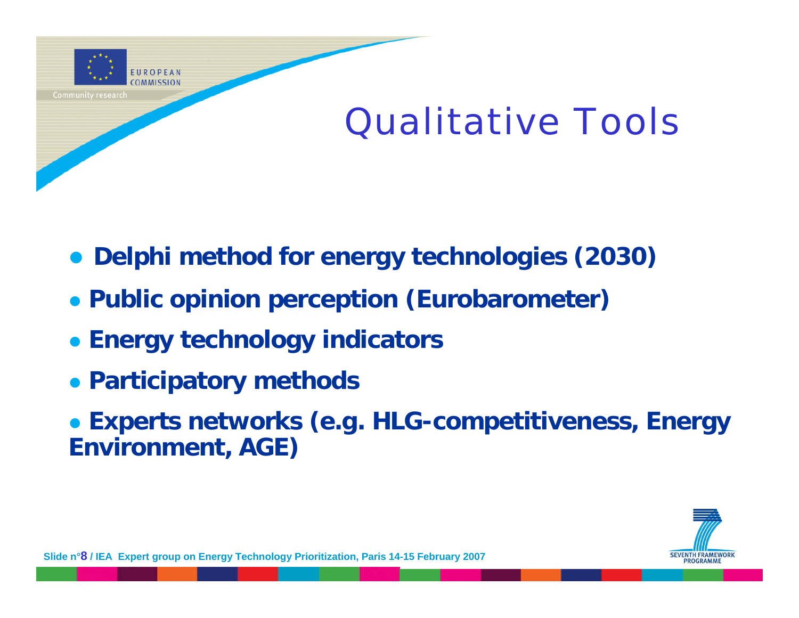

# Qualitative Tools

- $\bullet$ **Delphi method for energy technologies (2030)**
- z **Public opinion perception (Eurobarometer)**
- **Energy technology indicators**
- **Participatory methods**
- **Experts networks (e.g. HLG-competitiveness, Energy Environment, AGE)**

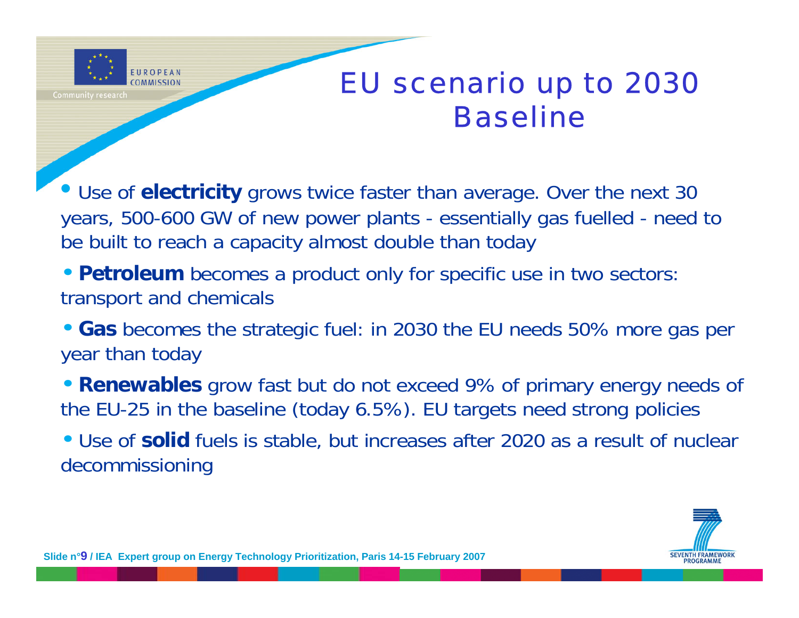

#### EU scenario up to 2030 Baseline

• Use of **electricity** grows twice faster than average. Over the next 30 years, 500-600 GW of new power plants - essentially gas fuelled - need to be built to reach a capacity almost double than today

- **Petroleum** becomes a product only for specific use in two sectors: transport and chemicals
- **Gas** becomes the strategic fuel: in 2030 the EU needs 50% more gas per year than today
- **Renewables** grow fast but do not exceed 9% of primary energy needs of the EU-25 in the baseline (today 6.5%). EU targets need strong policies
- Use of **solid** fuels is stable, but increases after 2020 as a result of nuclear decommissioning

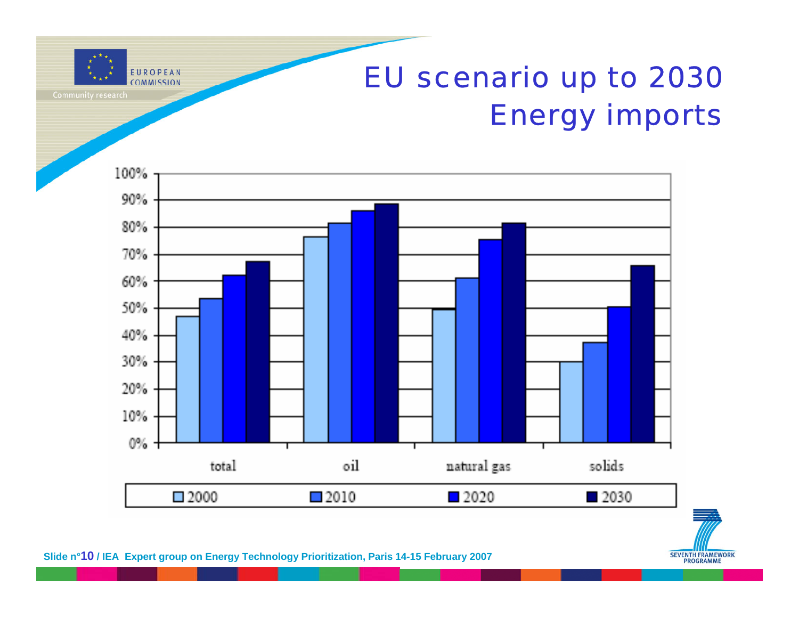### EU scenario up to 2030 Energy imports

EUROPEAN **COMMISSION** 100% 90% 80%





**Slide n°10 / IEA Expert group on Energy Technology Prioritization, Paris 14-15 February 2007**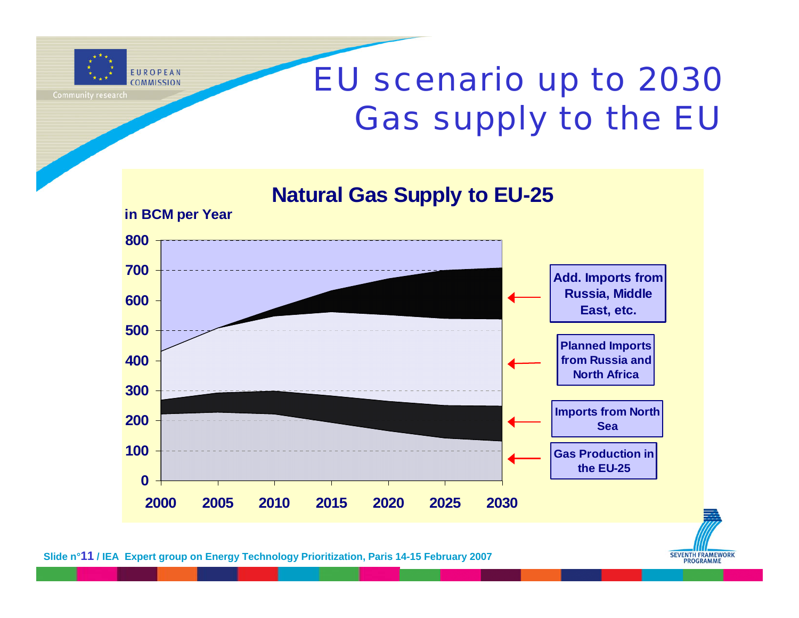

# EU scenario up to 2030 Gas supply to the EU





**Slide n°11 / IEA Expert group on Energy Technology Prioritization, Paris 14-15 February 2007**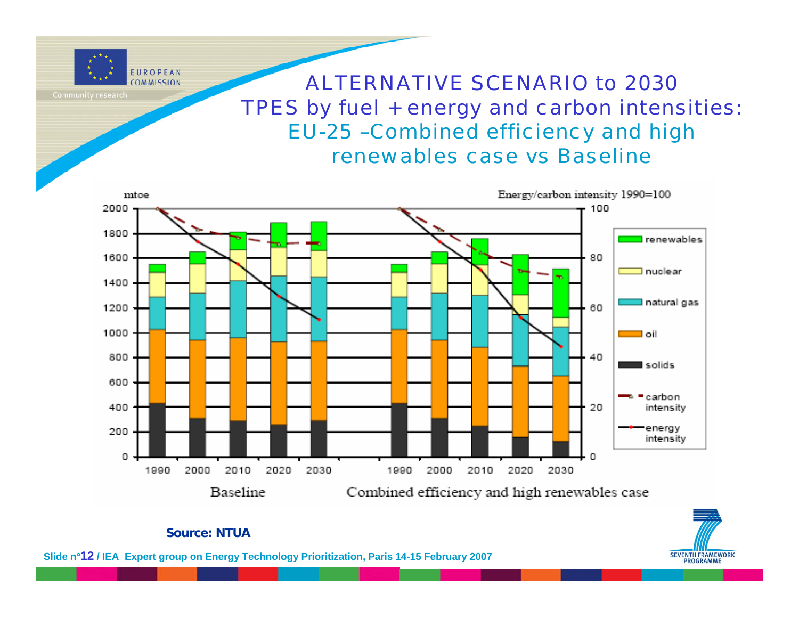

ALTERNATIVE SCENARIO to 2030TPES by fuel + energy and carbon intensities: EU-25 –Combined efficiency and high renewables case vs Baseline





#### **Source: NTUA**

**Slide n°12 / IEA Expert group on Energy Technology Prioritization, Paris 14-15 February 2007**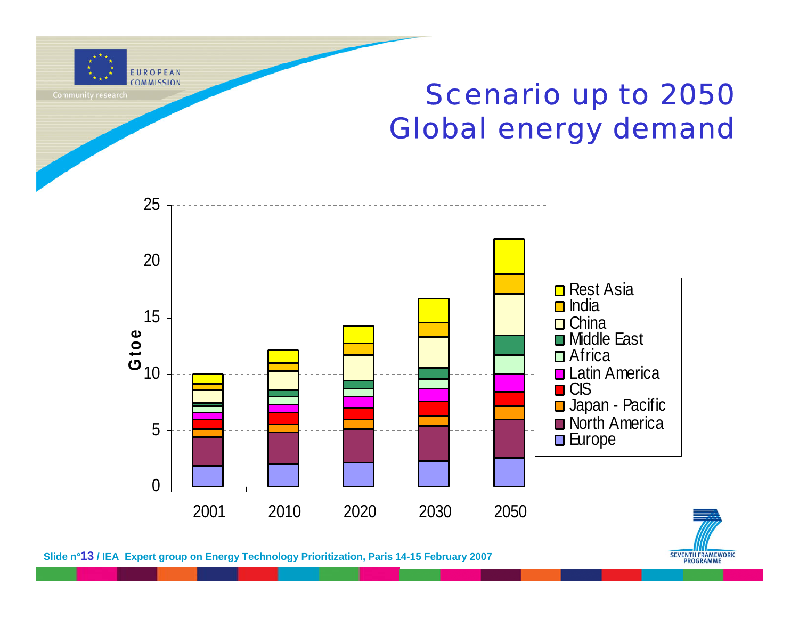

#### Scenario up to 2050 Global energy demand



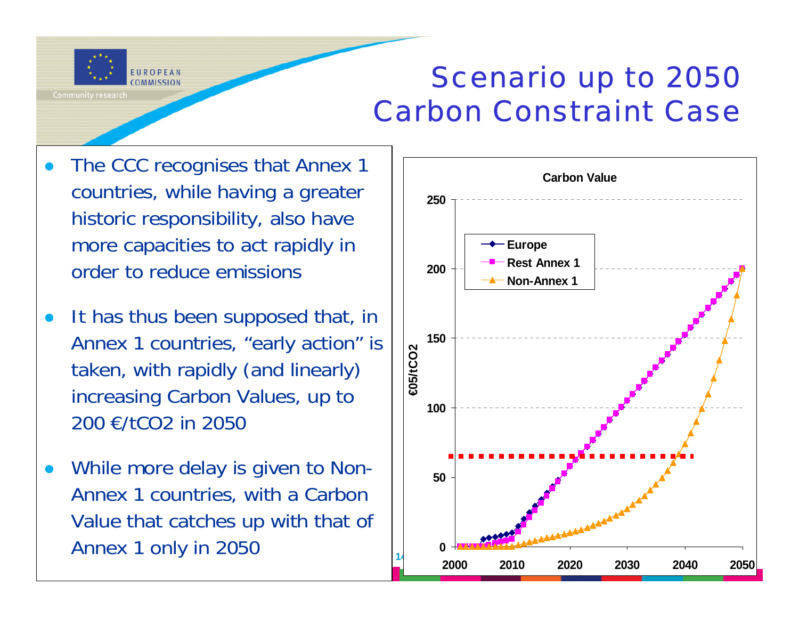

#### Scenario up to 2050 Carbon Constraint Case

- $\bullet$  The CCC recognises that Annex 1 countries, while having a greater historic responsibility, also have more capacities to act rapidly in order to reduce emissions
- $\bullet$  It has thus been supposed that, in Annex 1 countries, "early action" is taken, with rapidly (and linearly) increasing Carbon Values, up to 200 €/tCO2 in 2050
- **Solide Annex 1 only in 2050**  $\bullet$  While more delay is given to Non-Annex 1 countries, with a Carbon Value that catches up with that of

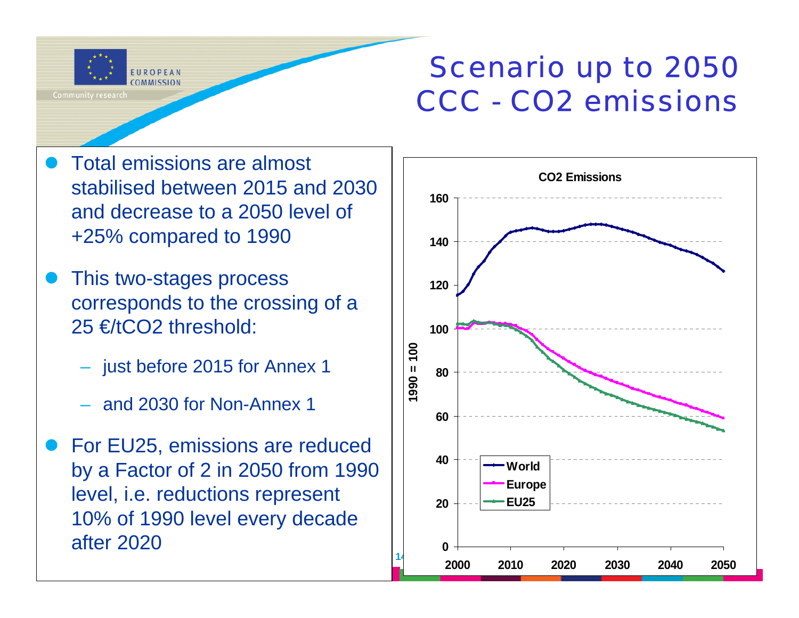

#### Scenario up to 2050 CCC - CO2 emissions

- $\bullet$  Total emissions are almost stabilised between 2015 and 2030 and decrease to a 2050 level of +25% compared to 1990
- $\bullet$  This two-stages process corresponds to the crossing of a 25 €/tCO2 threshold:
	- just before 2015 for Annex 1
	- and 2030 for Non-Annex 1
- $\bullet$  For EU25, emissions are reduced by a Factor of 2 in 2050 from 1990 level, i.e. reductions represent 10% of 1990 level every decade after 2020

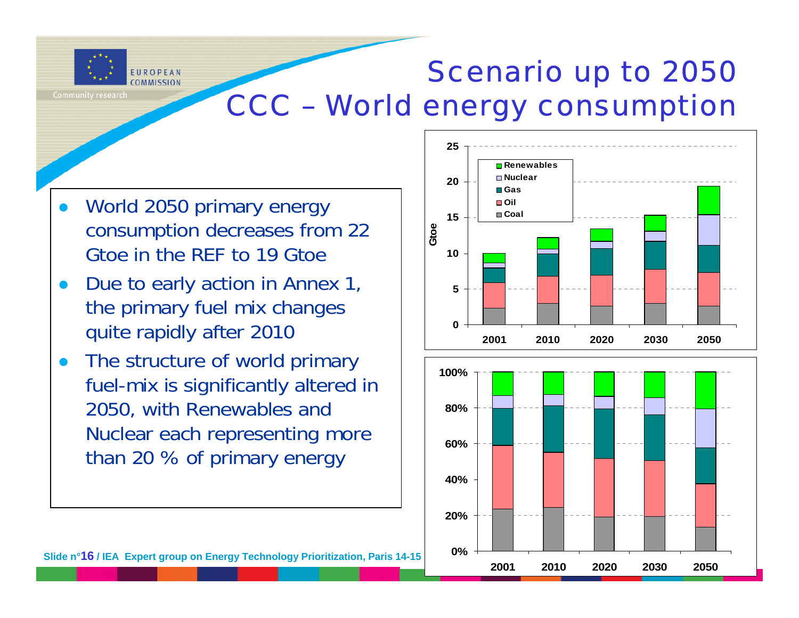

#### Scenario up to 2050 CCC – World energy consumption

**0%**

**2001**

- $\bullet$  World 2050 primary energy consumption decreases from 22 Gtoe in the REF to 19 Gtoe
- $\bullet$  Due to early action in Annex 1, the primary fuel mix changes quite rapidly after 2010
- $\bullet$  The structure of world primary fuel-mix is significantly altered in 2050, with Renewables and Nuclear each representing more than 20 % of primary energy



**2010 2020 2030 2050**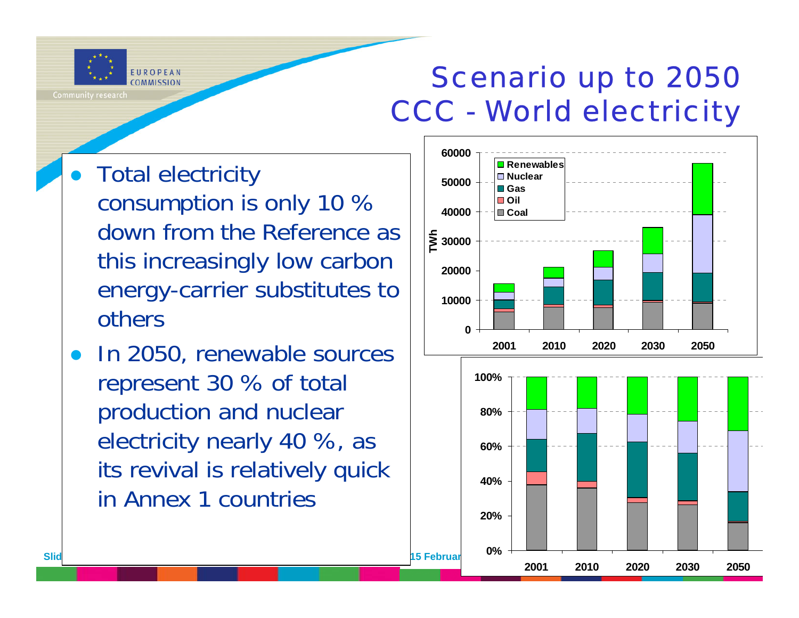

#### Scenario up to 2050 CCC - World electricity

- $\bullet$  Total electricity consumption is only 10 % down from the Reference as this increasingly low carbon energy-carrier substitutes to others
- z In 2050, renewable sources represent 30 % of total production and nuclear electricity nearly 40 %, as its revival is relatively quick in Annex 1 countries

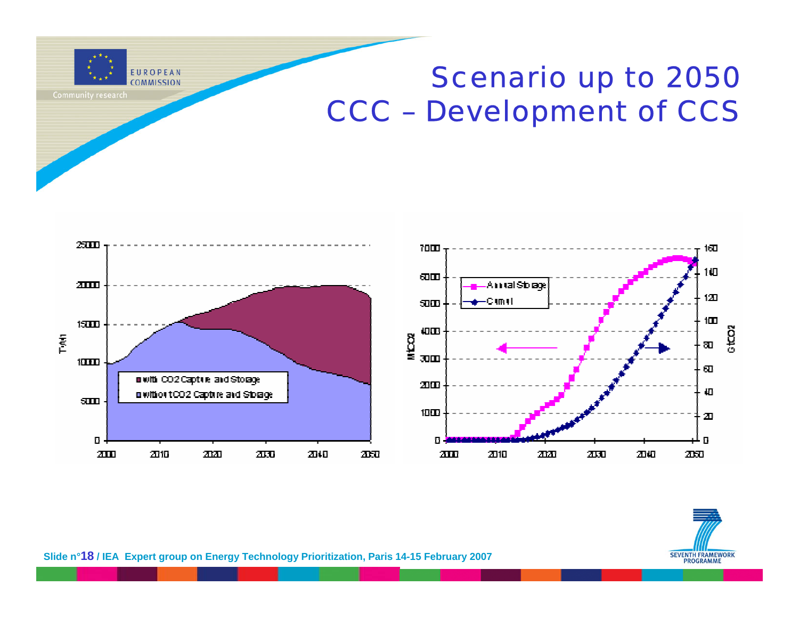

#### Scenario up to 2050 CCC – Development of CCS



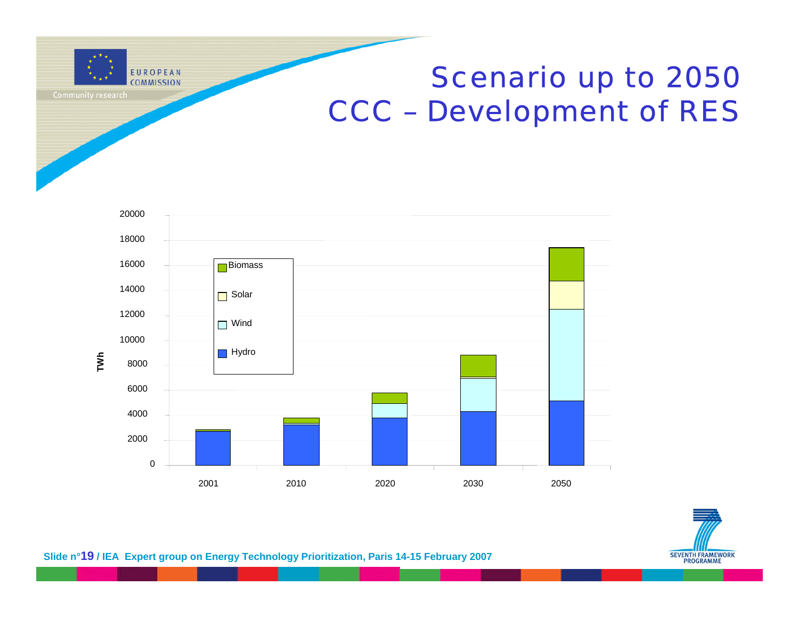

#### Scenario up to 2050 CCC – Development of RES



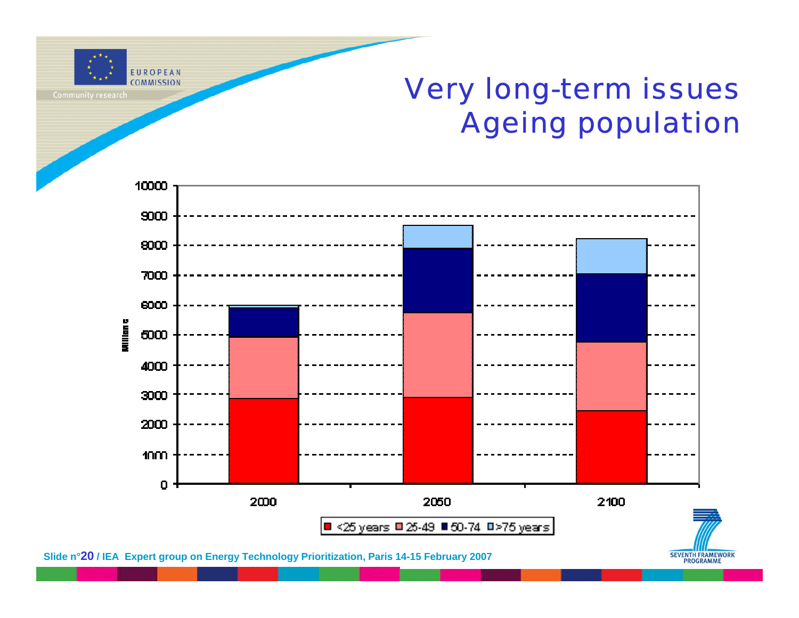

#### Very long-term issues Ageing population

**PROGRAMME** 



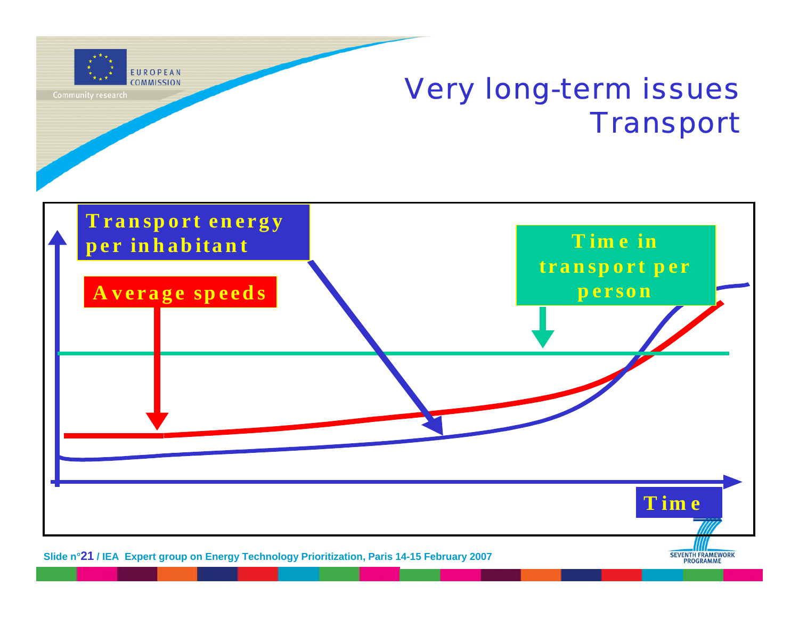

#### Very long-term issues **Transport**

**PROGRAMME** 



**Slide n°21 / IEA Expert group on Energy Technology Prioritization, Paris 14-15 February 2007**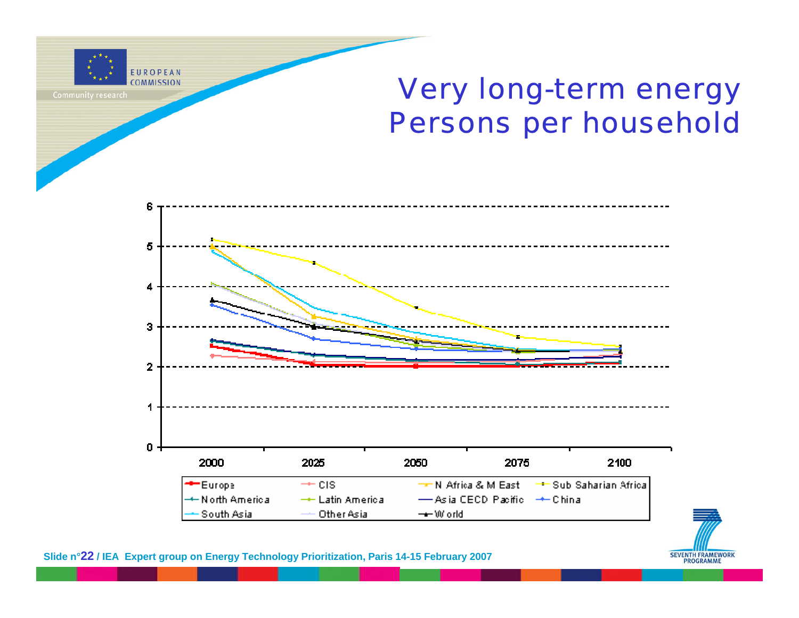

Very long-term energy Persons per household



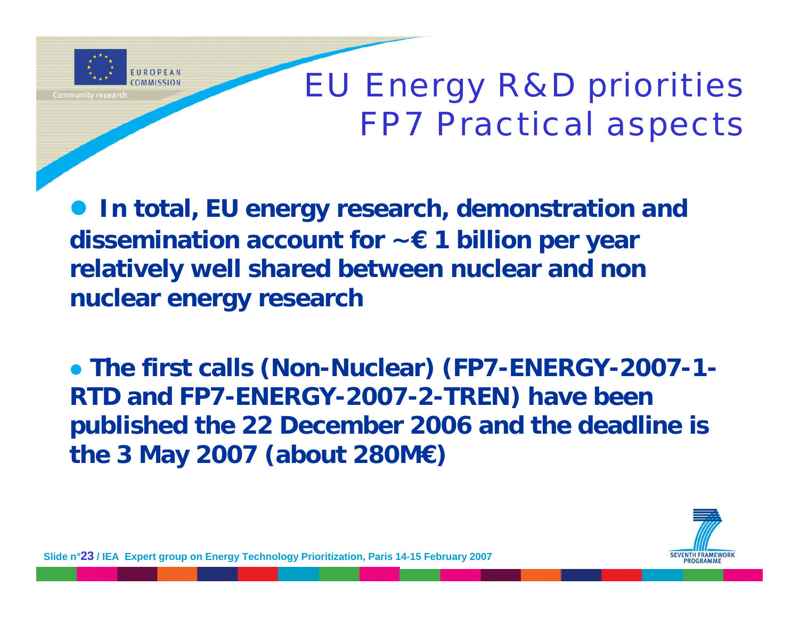

# EU Energy R&D priorities FP7 Practical aspects

**• In total, EU energy research, demonstration and dissemination account for ~€ 1 billion per year relatively well shared between nuclear and non nuclear energy research**

**• The first calls (Non-Nuclear) (FP7-ENERGY-2007-1-RTD and FP7-ENERGY-2007-2-TREN) have been published the 22 December 2006 and the deadline is the 3 May 2007 (about 280M€)** 

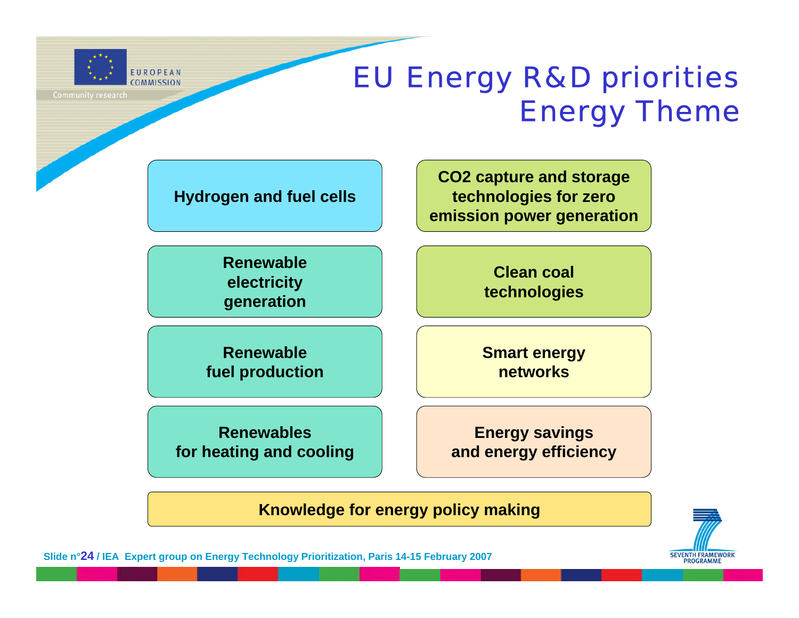

#### EU Energy R&D priorities Energy Theme

**Hydrogen and fuel cells**

**CO2 capture and storage technologies for zero emission power generation**

**Renewableelectricity generation**

**Clean coal technologies**

**Renewable fuel production** **Smart energy networks**

**Renewables for heating and cooling**

**Energy savings and energy efficiency**

**Knowledge for energy policy making**



**Slide n°24 / IEA Expert group on Energy Technology Prioritization, Paris 14-15 February 2007**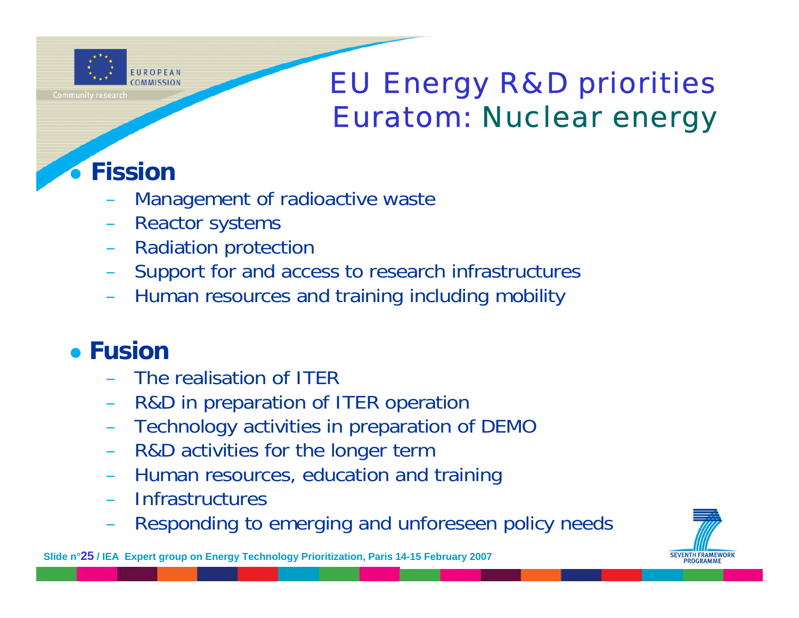

#### EU Energy R&D priorities Euratom: Nuclear energy

#### $\bullet$ **Fission**

- Management of radioactive waste
- Reactor systems
- Radiation protection
- Support for and access to research infrastructures
- Human resources and training including mobility

#### **• Fusior**

- The realisation of ITER
- R&D in preparation of ITER operation
- Technology activities in preparation of DEMO
- R&D activities for the longer term
- Human resources, education and training
- Infrastructures
- Responding to emerging and unforeseen policy needs

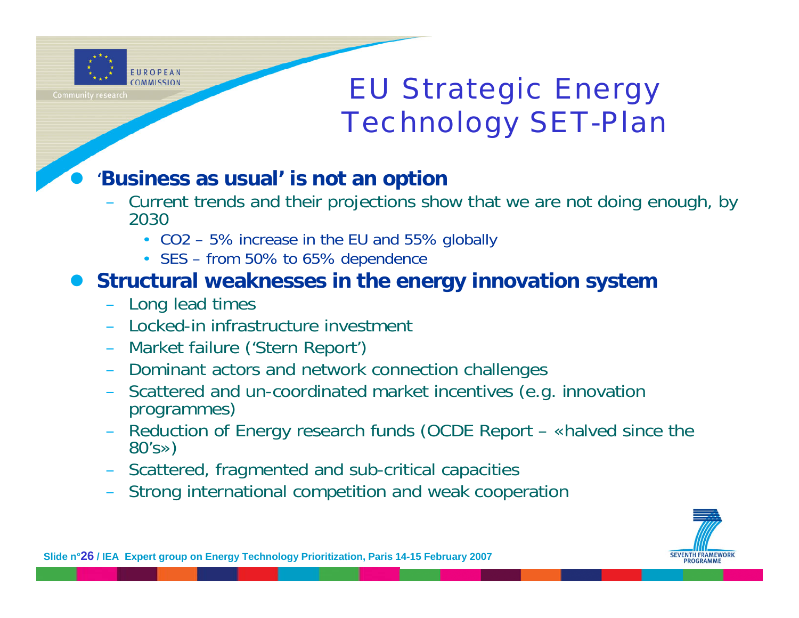

 $\bullet$ 

#### EU Strategic Energy Technology SET-Plan

#### '**Business as usual' is not an option**

- Current trends and their projections show that we are not doing enough, by 2030
	- CO2 5% increase in the EU and 55% globally
	- SES from 50% to 65% dependence

#### $\bullet$ **Structural weaknesses in the energy innovation system**

- Long lead times
- Locked-in infrastructure investment
- Market failure ('Stern Report')
- Dominant actors and network connection challenges
- Scattered and un-coordinated market incentives (e.g. innovation programmes)
- Reduction of Energy research funds (OCDE Report «halved since the 80's»)
- Scattered, fragmented and sub-critical capacities
- Strong international competition and weak cooperation

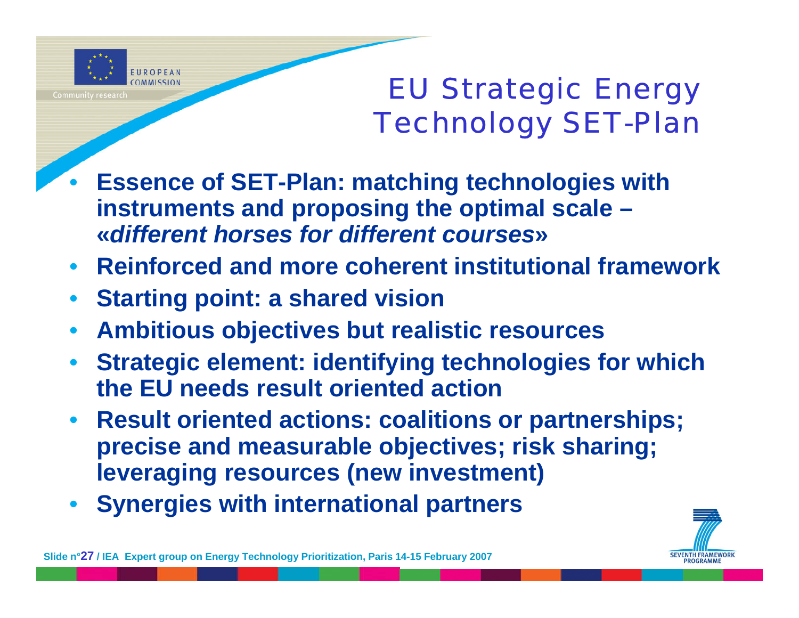

### EU Strategic Energy Technology SET-Plan

- • **Essence of SET-Plan: matching technologies with instruments and proposing the optimal scale – «***different horses for different courses***»**
- **Reinforced and more coherent institutional framework**
- •**Starting point: a shared vision**
- •**Ambitious objectives but realistic resources**
- • **Strategic element: identifying technologies for which the EU needs result oriented action**
- **Result oriented actions: coalitions or partnerships; precise and measurable objectives; risk sharing; leveraging resources (new investment)**
- •**Synergies with international partners**

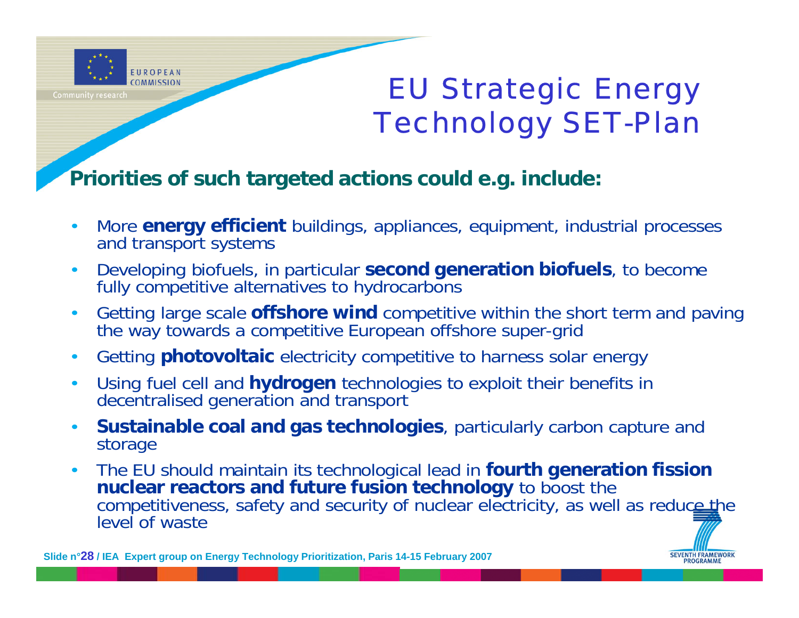

### EU Strategic Energy Technology SET-Plan

#### **Priorities of such targeted actions could e.g. include:**

- • More **energy efficient** buildings, appliances, equipment, industrial processes and transport systems
- $\bullet$  Developing biofuels, in particular **second generation biofuels**, to become fully competitive alternatives to hydrocarbons
- $\bullet$  Getting large scale **offshore wind** competitive within the short term and paving the way towards a competitive European offshore super-grid
- •Getting **photovoltaic** electricity competitive to harness solar energy
- • Using fuel cell and **hydrogen** technologies to exploit their benefits in decentralised generation and transport
- $\bullet$  **Sustainable coal and gas technologies**, particularly carbon capture and storage
- • The EU should maintain its technological lead in **fourth generation fission nuclear reactors and future fusion technology** to boost the competitiveness, safety and security of nuclear electricity, as well as reduce the level of waste



**Slide n°28 / IEA Expert group on Energy Technology Prioritization, Paris 14-15 February 2007**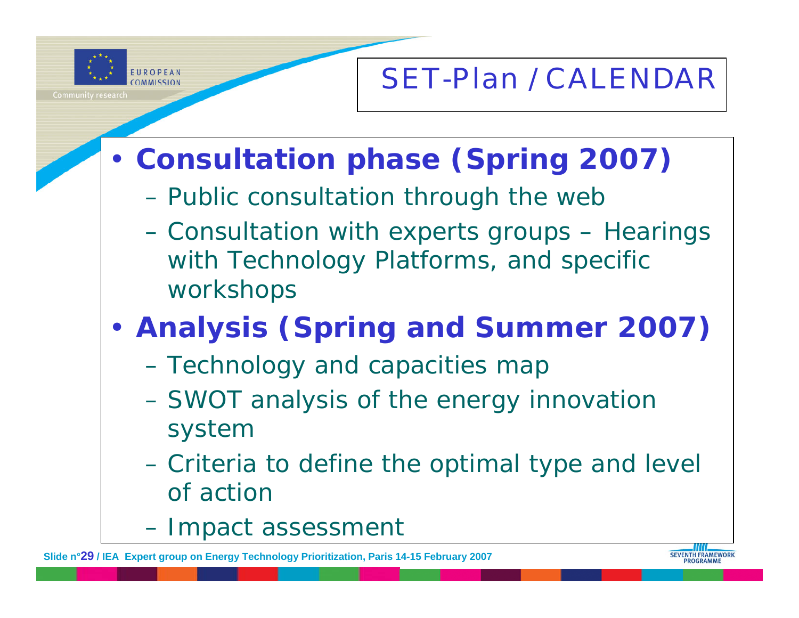

### SET-Plan / CALENDAR

- • **Consultation phase (Spring 2007)**
	- Public consultation through the web
	- Consultation with experts groups Hearings with Technology Platforms, and specific workshops
- • **Analysis (Spring and Summer 2007)**
	- Technology and capacities map
	- SWOT analysis of the energy innovation system
	- Criteria to define the optimal type and level of action
	- $\mathcal{L}_{\mathcal{A}}$ – Impact assessment

**Slide n°29 / IEA Expert group on Energy Technology Prioritization, Paris 14-15 February 2007**

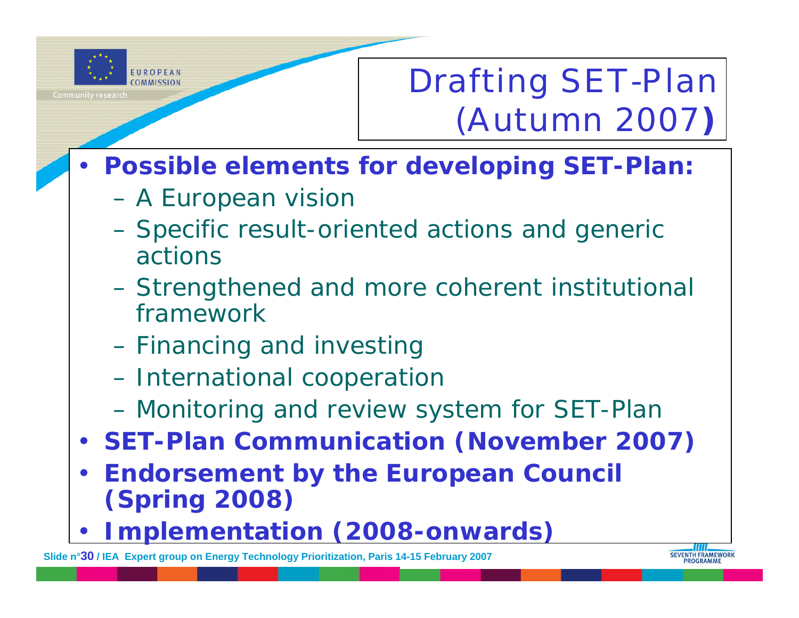

# Drafting SET-Plan (Autumn 2007**)**

- **Possible elements for developing SET-Plan:**
	- A European visior
	- Specific result-oriented actions and generic actions
	- Strengthened and more coherent institutional framework
	- Financing and investing
	- International cooperatior
	- $\mathcal{L}_{\mathcal{A}}$ Monitoring and review system for SET-Plan
- **SET-Plan Communication (November 2007)**
- $\bullet$  **Endorsement by the European Council (Spring 2008)**
- •**Implementation (2008-onwards)**

**Slide n°30 / IEA Expert group on Energy Technology Prioritization, Paris 14-15 February 2007**

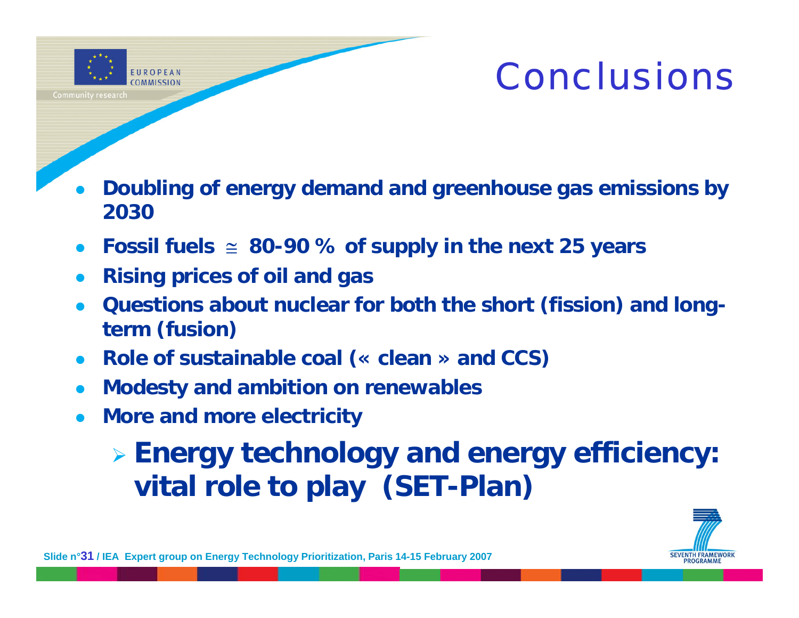

# Conclusions

- $\bullet$  **Doubling of energy demand and greenhouse gas emissions by 2030**
- $\bullet$ **Fossil fuels** <sup>≅</sup> **80-90 % of supply in the next 25 years**
- $\bullet$ **Rising prices of oil and gas**
- $\bullet$  **Questions about nuclear for both the short (fission) and longterm (fusion)**
- $\bullet$ **Role of sustainable coal (« clean » and CCS)**
- $\bullet$ **Modesty and ambition on renewables**
- $\bullet$ **More and more electricity**

¾ **Energy technology and energy efficiency: vital role to play (SET-Plan)**